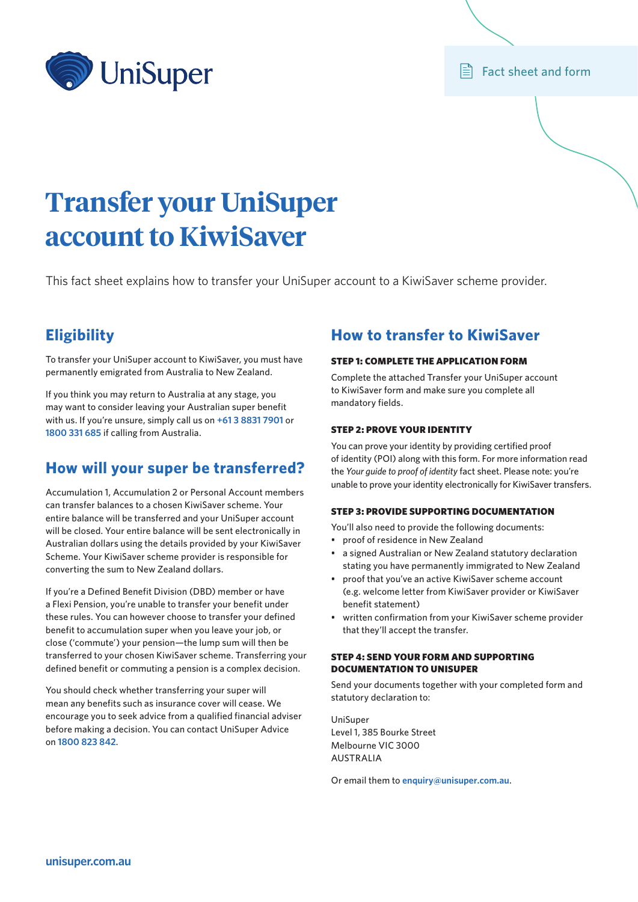

 $\mathbf{F}$  Fact sheet and form

# **Transfer your UniSuper account to KiwiSaver**

This fact sheet explains how to transfer your UniSuper account to a KiwiSaver scheme provider.

# **Eligibility**

To transfer your UniSuper account to KiwiSaver, you must have permanently emigrated from Australia to New Zealand.

If you think you may return to Australia at any stage, you may want to consider leaving your Australian super benefit with us. If you're unsure, simply call us on **+61 3 8831 7901** or **1800 331 685** if calling from Australia.

# **How will your super be transferred?**

Accumulation 1, Accumulation 2 or Personal Account members can transfer balances to a chosen KiwiSaver scheme. Your entire balance will be transferred and your UniSuper account will be closed. Your entire balance will be sent electronically in Australian dollars using the details provided by your KiwiSaver Scheme. Your KiwiSaver scheme provider is responsible for converting the sum to New Zealand dollars.

If you're a Defined Benefit Division (DBD) member or have a Flexi Pension, you're unable to transfer your benefit under these rules. You can however choose to transfer your defined benefit to accumulation super when you leave your job, or close ('commute') your pension—the lump sum will then be transferred to your chosen KiwiSaver scheme. Transferring your defined benefit or commuting a pension is a complex decision.

You should check whether transferring your super will mean any benefits such as insurance cover will cease. We encourage you to seek advice from a qualified financial adviser before making a decision. You can contact UniSuper Advice on **1800 823 842**.

## **How to transfer to KiwiSaver**

#### STEP 1: COMPLETE THE APPLICATION FORM

Complete the attached Transfer your UniSuper account to KiwiSaver form and make sure you complete all mandatory fields.

#### STEP 2: PROVE YOUR IDENTITY

You can prove your identity by providing certified proof of identity (POI) along with this form. For more information read the *Your guide to proof of identity* fact sheet. Please note: you're unable to prove your identity electronically for KiwiSaver transfers.

#### STEP 3: PROVIDE SUPPORTING DOCUMENTATION

You'll also need to provide the following documents:

- proof of residence in New Zealand
- a signed Australian or New Zealand statutory declaration stating you have permanently immigrated to New Zealand
- proof that you've an active KiwiSaver scheme account (e.g. welcome letter from KiwiSaver provider or KiwiSaver benefit statement)
- written confirmation from your KiwiSaver scheme provider that they'll accept the transfer.

#### STEP 4: SEND YOUR FORM AND SUPPORTING DOCUMENTATION TO UNISUPER

Send your documents together with your completed form and statutory declaration to:

UniSuper Level 1, 385 Bourke Street Melbourne VIC 3000 AUSTRALIA

Or email them to **[enquiry@unisuper.com.au](mailto:enquiry%40unisuper.com.au?subject=)**.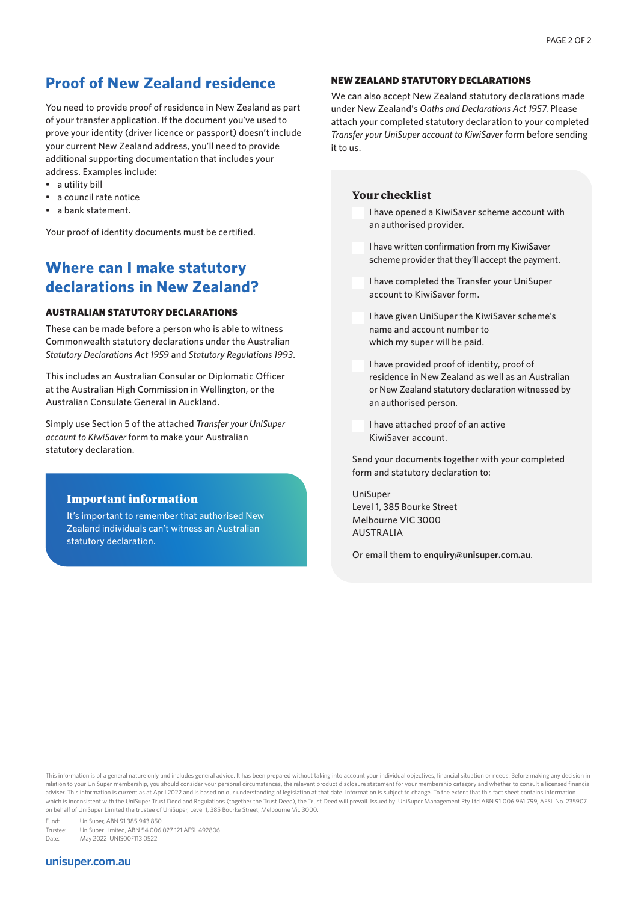# **Proof of New Zealand residence**

You need to provide proof of residence in New Zealand as part of your transfer application. If the document you've used to prove your identity (driver licence or passport) doesn't include your current New Zealand address, you'll need to provide additional supporting documentation that includes your address. Examples include:

- a utility bill
- a council rate notice
- a bank statement.

Your proof of identity documents must be certified.

# **Where can I make statutory declarations in New Zealand?**

#### AUSTRALIAN STATUTORY DECLARATIONS

These can be made before a person who is able to witness Commonwealth statutory declarations under the Australian *Statutory Declarations Act 1959* and *Statutory Regulations 1993*.

This includes an Australian Consular or Diplomatic Officer at the Australian High Commission in Wellington, or the Australian Consulate General in Auckland.

Simply use Section 5 of the attached *Transfer your UniSuper account to KiwiSaver* form to make your Australian statutory declaration.

## Important information

It's important to remember that authorised New Zealand individuals can't witness an Australian statutory declaration.

#### NEW ZEALAND STATUTORY DECLARATIONS

We can also accept New Zealand statutory declarations made under New Zealand's *Oaths and Declarations Act 1957*. Please attach your completed statutory declaration to your completed *Transfer your UniSuper account to KiwiSaver* form before sending it to us.

#### **Your checklist**

I have opened a KiwiSaver scheme account with an authorised provider.

- I have written confirmation from my KiwiSaver scheme provider that they'll accept the payment.
- I have completed the Transfer your UniSuper account to KiwiSaver form.

I have given UniSuper the KiwiSaver scheme's name and account number to which my super will be paid.

I have provided proof of identity, proof of residence in New Zealand as well as an Australian or New Zealand statutory declaration witnessed by an authorised person.

I have attached proof of an active KiwiSaver account.

Send your documents together with your completed form and statutory declaration to:

UniSuper Level 1, 385 Bourke Street Melbourne VIC 3000 AUSTRALIA

Or email them to **[enquiry@unisuper.com.au](mailto:enquiry%40unisuper.com.au?subject=)**.

This information is of a general nature only and includes general advice. It has been prepared without taking into account your individual objectives, financial situation or needs. Before making any decision in relation to your UniSuper membership, you should consider your personal circumstances, the relevant product disclosure statement for your membership category and whether to consult a licensed financial adviser. This information is current as at April 2022 and is based on our understanding of legislation at that date. Information is subject to change. To the extent that this fact sheet contains information which is inconsistent with the UniSuper Trust Deed and Regulations (together the Trust Deed), the Trust Deed will prevail. Issued by: UniSuper Management Pty Ltd ABN 91 006 961 799, AFSL No. 235907 on behalf of UniSuper Limited the trustee of UniSuper, Level 1, 385 Bourke Street, Melbourne Vic 3000.

Fund: UniSuper, ABN 91 385 943 850 UniSuper Limited, ABN 54 006 027 121 AFSL 492806 Date: May 2022 UNIS00F113 0522

#### **[unisuper.com.au](http://unisuper.com.au)**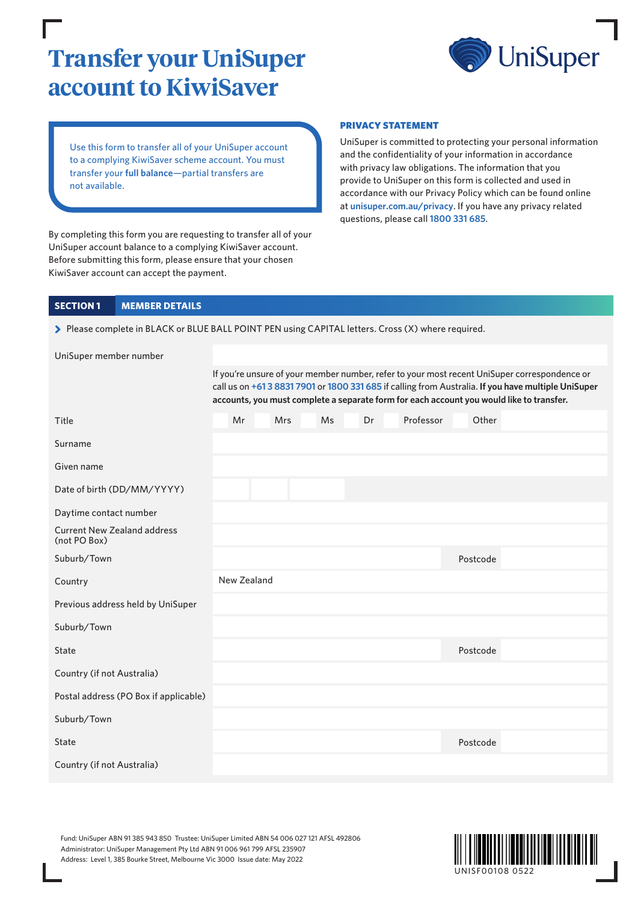# **Transfer your UniSuper account to KiwiSaver**



Use this form to transfer all of your UniSuper account to a complying KiwiSaver scheme account. You must transfer your **full balance**—partial transfers are not available.

By completing this form you are requesting to transfer all of your UniSuper account balance to a complying KiwiSaver account. Before submitting this form, please ensure that your chosen KiwiSaver account can accept the payment.

#### PRIVACY STATEMENT

UniSuper is committed to protecting your personal information and the confidentiality of your information in accordance with privacy law obligations. The information that you provide to UniSuper on this form is collected and used in accordance with our Privacy Policy which can be found online at **[unisuper.com.au/privacy](http://unisuper.com.au/privacy)** . If you have any privacy related questions, please call **1800 331 685**.

## **SECTION 1 MEMBER DETAILS**

> Please complete in BLACK or BLUE BALL POINT PEN using CAPITAL letters. Cross (X) where required.

| UniSuper member number                             |                                                                                                                                                                                                                                                                                                 |             |  |            |           |    |  |           |          |  |
|----------------------------------------------------|-------------------------------------------------------------------------------------------------------------------------------------------------------------------------------------------------------------------------------------------------------------------------------------------------|-------------|--|------------|-----------|----|--|-----------|----------|--|
|                                                    | If you're unsure of your member number, refer to your most recent UniSuper correspondence or<br>call us on +61 3 8831 7901 or 1800 331 685 if calling from Australia. If you have multiple UniSuper<br>accounts, you must complete a separate form for each account you would like to transfer. |             |  |            |           |    |  |           |          |  |
| Title                                              |                                                                                                                                                                                                                                                                                                 | Mr          |  | <b>Mrs</b> | <b>Ms</b> | Dr |  | Professor | Other    |  |
| Surname                                            |                                                                                                                                                                                                                                                                                                 |             |  |            |           |    |  |           |          |  |
| Given name                                         |                                                                                                                                                                                                                                                                                                 |             |  |            |           |    |  |           |          |  |
| Date of birth (DD/MM/YYYY)                         |                                                                                                                                                                                                                                                                                                 |             |  |            |           |    |  |           |          |  |
| Daytime contact number                             |                                                                                                                                                                                                                                                                                                 |             |  |            |           |    |  |           |          |  |
| <b>Current New Zealand address</b><br>(not PO Box) |                                                                                                                                                                                                                                                                                                 |             |  |            |           |    |  |           |          |  |
| Suburb/Town                                        |                                                                                                                                                                                                                                                                                                 |             |  |            |           |    |  |           | Postcode |  |
| Country                                            |                                                                                                                                                                                                                                                                                                 | New Zealand |  |            |           |    |  |           |          |  |
| Previous address held by UniSuper                  |                                                                                                                                                                                                                                                                                                 |             |  |            |           |    |  |           |          |  |
| Suburb/Town                                        |                                                                                                                                                                                                                                                                                                 |             |  |            |           |    |  |           |          |  |
| <b>State</b>                                       |                                                                                                                                                                                                                                                                                                 |             |  |            |           |    |  |           | Postcode |  |
| Country (if not Australia)                         |                                                                                                                                                                                                                                                                                                 |             |  |            |           |    |  |           |          |  |
| Postal address (PO Box if applicable)              |                                                                                                                                                                                                                                                                                                 |             |  |            |           |    |  |           |          |  |
| Suburb/Town                                        |                                                                                                                                                                                                                                                                                                 |             |  |            |           |    |  |           |          |  |
| <b>State</b>                                       |                                                                                                                                                                                                                                                                                                 |             |  |            |           |    |  |           | Postcode |  |
| Country (if not Australia)                         |                                                                                                                                                                                                                                                                                                 |             |  |            |           |    |  |           |          |  |

Fund: UniSuper ABN 91 385 943 850 Trustee: UniSuper Limited ABN 54 006 027 121 AFSL 492806 Administrator: UniSuper Management Pty Ltd ABN 91 006 961 799 AFSL 235907 Address: Level 1, 385 Bourke Street, Melbourne Vic 3000 Issue date: May 2022

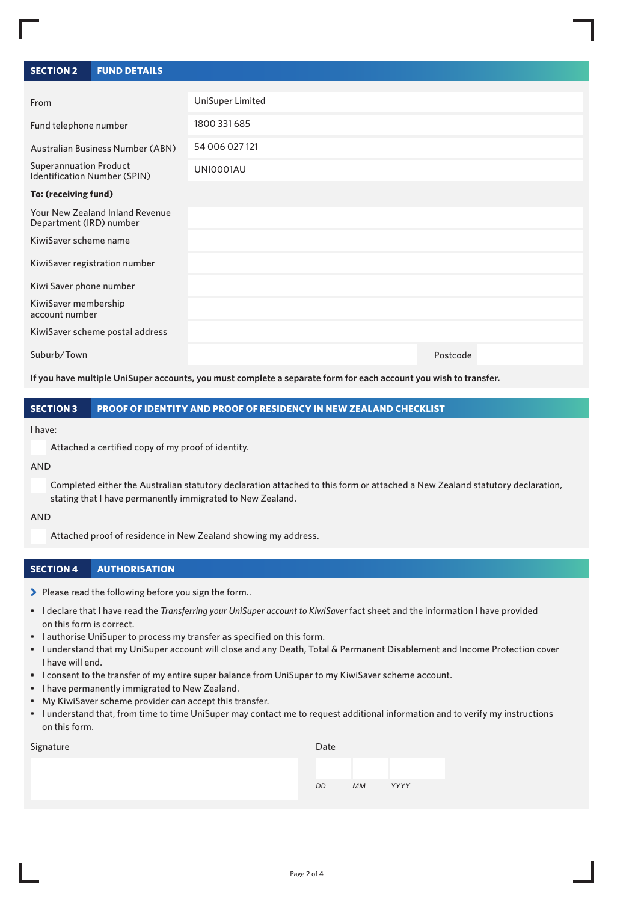| <b>SECTION 2</b>                                              | <b>FUND DETAILS</b>                     |                  |          |
|---------------------------------------------------------------|-----------------------------------------|------------------|----------|
|                                                               |                                         |                  |          |
| From                                                          |                                         | UniSuper Limited |          |
| Fund telephone number                                         |                                         | 1800 331 685     |          |
|                                                               | <b>Australian Business Number (ABN)</b> | 54 006 027 121   |          |
| <b>Superannuation Product</b><br>Identification Number (SPIN) |                                         | UNI0001AU        |          |
| To: (receiving fund)                                          |                                         |                  |          |
| Department (IRD) number                                       | Your New Zealand Inland Revenue         |                  |          |
| KiwiSaver scheme name                                         |                                         |                  |          |
|                                                               | KiwiSaver registration number           |                  |          |
| Kiwi Saver phone number                                       |                                         |                  |          |
| KiwiSaver membership<br>account number                        |                                         |                  |          |
|                                                               | KiwiSaver scheme postal address         |                  |          |
| Suburb/Town                                                   |                                         |                  | Postcode |

**If you have multiple UniSuper accounts, you must complete a separate form for each account you wish to transfer.**

### **SECTION 3 PROOF OF IDENTITY AND PROOF OF RESIDENCY IN NEW ZEALAND CHECKLIST**

#### I have:

Attached a certified copy of my proof of identity.

#### AND

Completed either the Australian statutory declaration attached to this form or attached a New Zealand statutory declaration, stating that I have permanently immigrated to New Zealand.

#### AND

Attached proof of residence in New Zealand showing my address.

#### **SECTION 4 AUTHORISATION**

> Please read the following before you sign the form..

- I declare that I have read the *Transferring your UniSuper account to KiwiSaver* fact sheet and the information I have provided on this form is correct.
- I authorise UniSuper to process my transfer as specified on this form.
- I understand that my UniSuper account will close and any Death, Total & Permanent Disablement and Income Protection cover I have will end.
- I consent to the transfer of my entire super balance from UniSuper to my KiwiSaver scheme account.
- I have permanently immigrated to New Zealand.
- My KiwiSaver scheme provider can accept this transfer.
- I understand that, from time to time UniSuper may contact me to request additional information and to verify my instructions on this form.

| Signature | Date |           |      |  |
|-----------|------|-----------|------|--|
|           |      |           |      |  |
|           | DD   | <b>MM</b> | YYYY |  |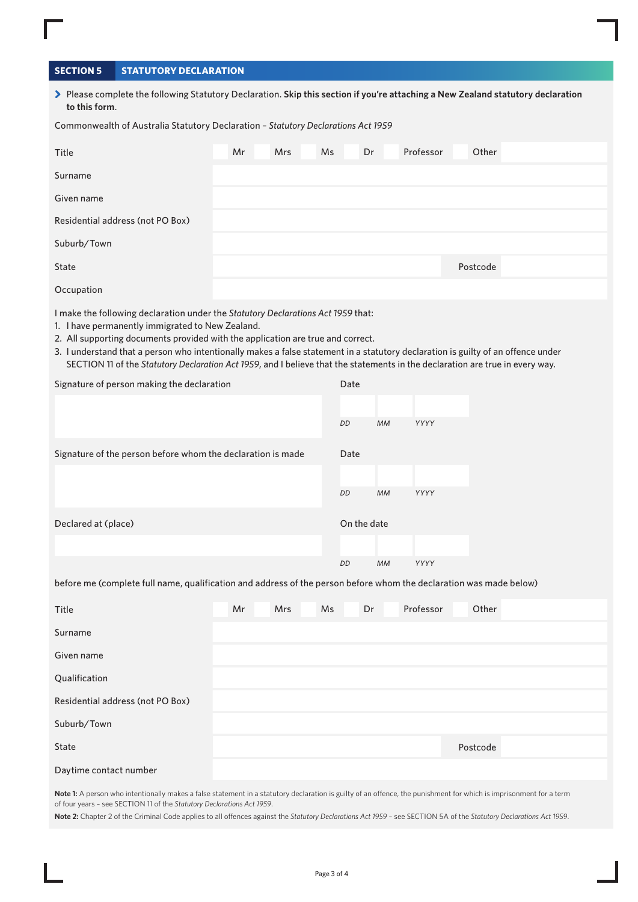## **SECTION 5 STATUTORY DECLARATION**

> Please complete the following Statutory Declaration. Skip this section if you're attaching a New Zealand statutory declaration **to this form**.

Commonwealth of Australia Statutory Declaration – *Statutory Declarations Act 1959*

| Title                            | Mr | Mrs | Ms | Dr | Professor | Other    |  |
|----------------------------------|----|-----|----|----|-----------|----------|--|
| Surname                          |    |     |    |    |           |          |  |
| Given name                       |    |     |    |    |           |          |  |
| Residential address (not PO Box) |    |     |    |    |           |          |  |
| Suburb/Town                      |    |     |    |    |           |          |  |
| State                            |    |     |    |    |           | Postcode |  |
| Occupation                       |    |     |    |    |           |          |  |

I make the following declaration under the *Statutory Declarations Act 1959* that:

- 1. I have permanently immigrated to New Zealand.
- 2. All supporting documents provided with the application are true and correct.
- 3. I understand that a person who intentionally makes a false statement in a statutory declaration is guilty of an offence under SECTION 11 of the *Statutory Declaration Act 1959*, and I believe that the statements in the declaration are true in every way.

| Signature of person making the declaration                  | Date        |           |      |  |
|-------------------------------------------------------------|-------------|-----------|------|--|
|                                                             | DD          | МM        | YYYY |  |
| Signature of the person before whom the declaration is made | Date        |           |      |  |
|                                                             | DD          | <b>MM</b> | YYYY |  |
| Declared at (place)                                         | On the date |           |      |  |
|                                                             | DD          | МM        | YYYY |  |

before me (complete full name, qualification and address of the person before whom the declaration was made below)

| Title                            | Mr | Mrs | Ms | Dr | Professor | Other    |
|----------------------------------|----|-----|----|----|-----------|----------|
| Surname                          |    |     |    |    |           |          |
| Given name                       |    |     |    |    |           |          |
| Qualification                    |    |     |    |    |           |          |
| Residential address (not PO Box) |    |     |    |    |           |          |
| Suburb/Town                      |    |     |    |    |           |          |
| State                            |    |     |    |    |           | Postcode |
| Daytime contact number           |    |     |    |    |           |          |

Note 1: A person who intentionally makes a false statement in a statutory declaration is guilty of an offence, the punishment for which is imprisonment for a term of four years – see SECTION 11 of the *Statutory Declarations Act 1959*.

**Note 2:** Chapter 2 of the Criminal Code applies to all offences against the *Statutory Declarations Act 1959* – see SECTION 5A of the *Statutory Declarations Act 1959*.